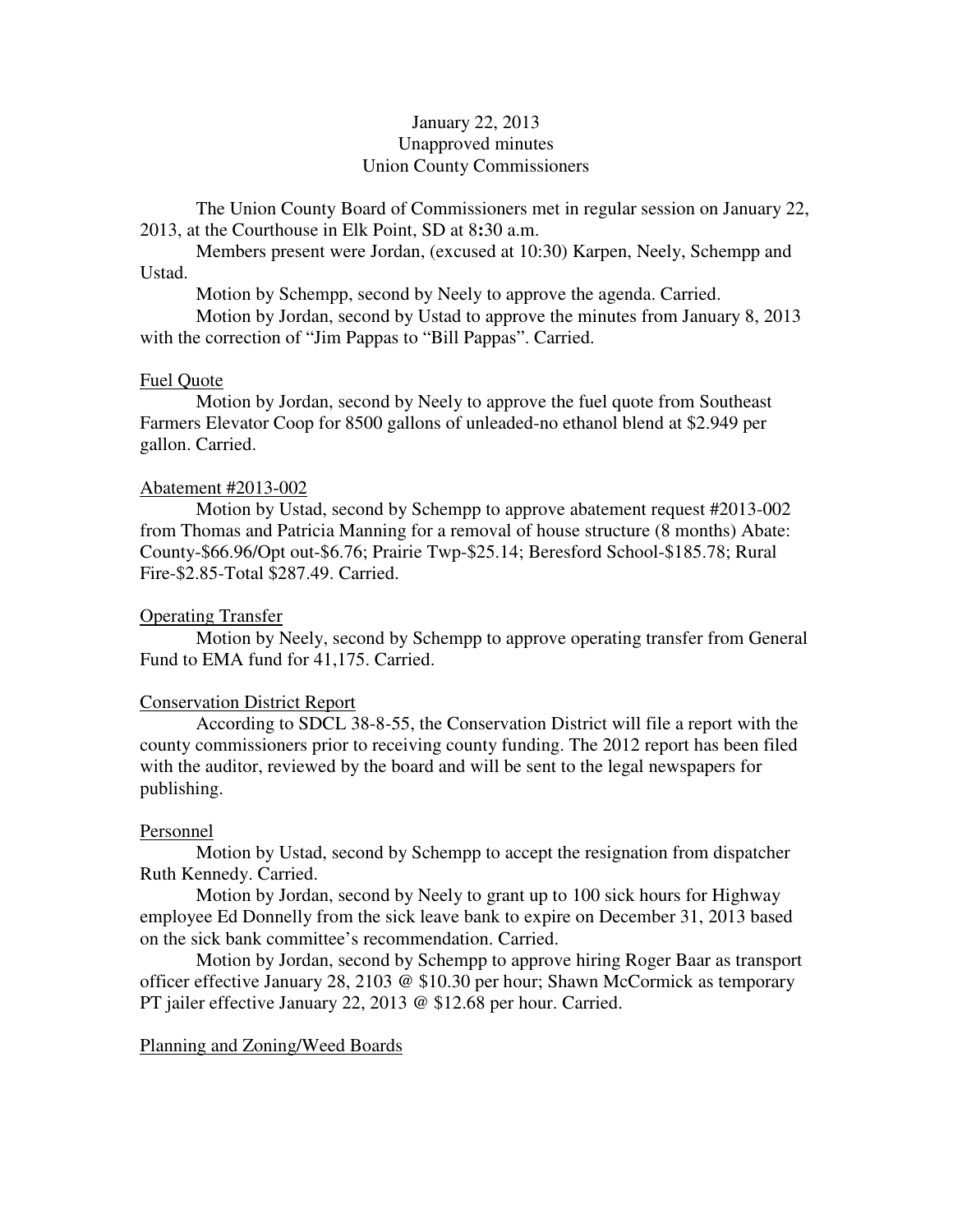# January 22, 2013 Unapproved minutes Union County Commissioners

The Union County Board of Commissioners met in regular session on January 22, 2013, at the Courthouse in Elk Point, SD at 8**:**30 a.m.

 Members present were Jordan, (excused at 10:30) Karpen, Neely, Schempp and Ustad.

Motion by Schempp, second by Neely to approve the agenda. Carried.

 Motion by Jordan, second by Ustad to approve the minutes from January 8, 2013 with the correction of "Jim Pappas to "Bill Pappas". Carried.

### Fuel Quote

 Motion by Jordan, second by Neely to approve the fuel quote from Southeast Farmers Elevator Coop for 8500 gallons of unleaded-no ethanol blend at \$2.949 per gallon. Carried.

### Abatement #2013-002

 Motion by Ustad, second by Schempp to approve abatement request #2013-002 from Thomas and Patricia Manning for a removal of house structure (8 months) Abate: County-\$66.96/Opt out-\$6.76; Prairie Twp-\$25.14; Beresford School-\$185.78; Rural Fire-\$2.85-Total \$287.49. Carried.

### Operating Transfer

 Motion by Neely, second by Schempp to approve operating transfer from General Fund to EMA fund for 41,175. Carried.

### Conservation District Report

 According to SDCL 38-8-55, the Conservation District will file a report with the county commissioners prior to receiving county funding. The 2012 report has been filed with the auditor, reviewed by the board and will be sent to the legal newspapers for publishing.

### Personnel

 Motion by Ustad, second by Schempp to accept the resignation from dispatcher Ruth Kennedy. Carried.

 Motion by Jordan, second by Neely to grant up to 100 sick hours for Highway employee Ed Donnelly from the sick leave bank to expire on December 31, 2013 based on the sick bank committee's recommendation. Carried.

 Motion by Jordan, second by Schempp to approve hiring Roger Baar as transport officer effective January 28, 2103 @ \$10.30 per hour; Shawn McCormick as temporary PT jailer effective January 22, 2013 @ \$12.68 per hour. Carried.

### Planning and Zoning/Weed Boards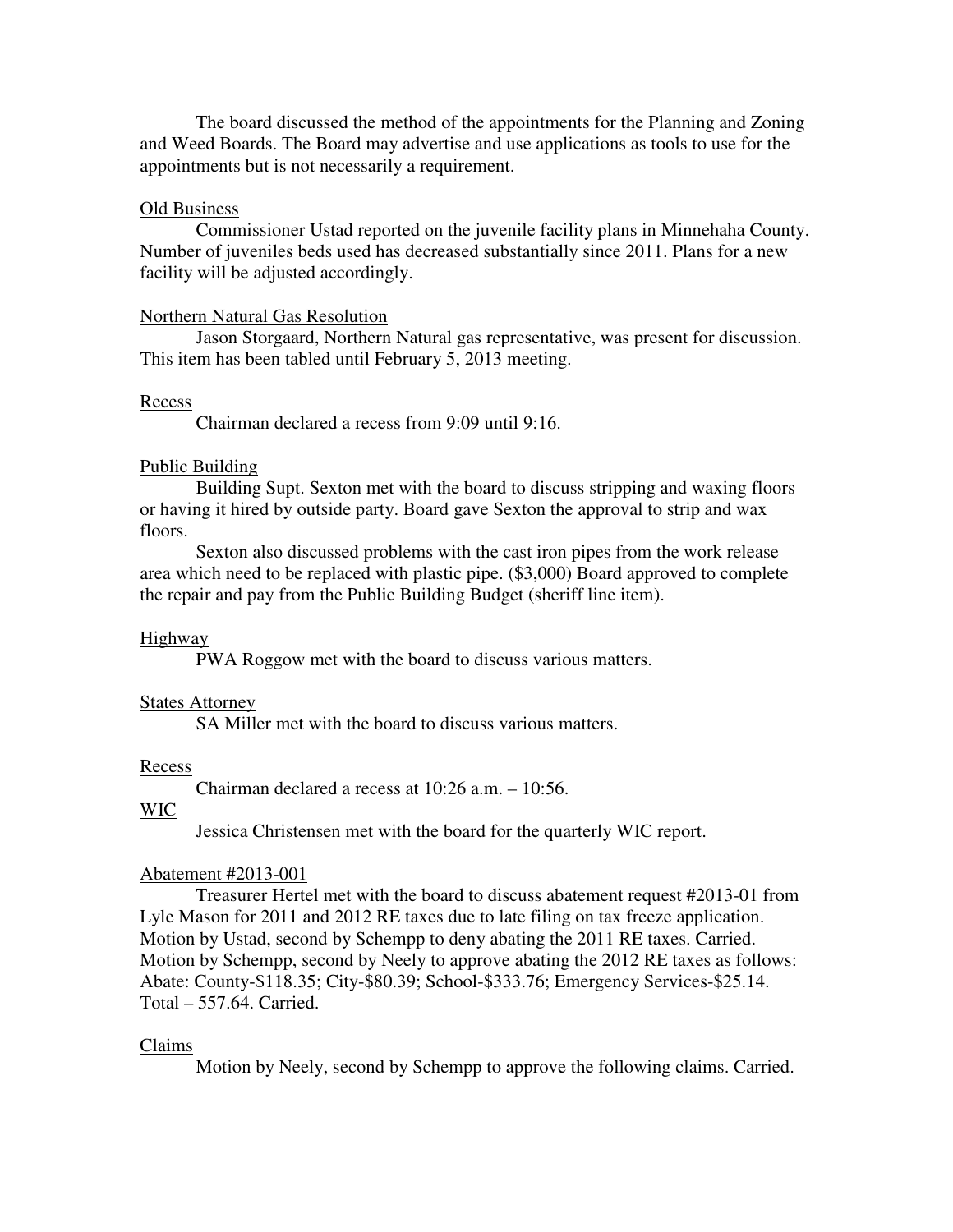The board discussed the method of the appointments for the Planning and Zoning and Weed Boards. The Board may advertise and use applications as tools to use for the appointments but is not necessarily a requirement.

### Old Business

 Commissioner Ustad reported on the juvenile facility plans in Minnehaha County. Number of juveniles beds used has decreased substantially since 2011. Plans for a new facility will be adjusted accordingly.

### Northern Natural Gas Resolution

 Jason Storgaard, Northern Natural gas representative, was present for discussion. This item has been tabled until February 5, 2013 meeting.

### Recess

Chairman declared a recess from 9:09 until 9:16.

# Public Building

 Building Supt. Sexton met with the board to discuss stripping and waxing floors or having it hired by outside party. Board gave Sexton the approval to strip and wax floors.

 Sexton also discussed problems with the cast iron pipes from the work release area which need to be replaced with plastic pipe. (\$3,000) Board approved to complete the repair and pay from the Public Building Budget (sheriff line item).

# Highway

PWA Roggow met with the board to discuss various matters.

### States Attorney

SA Miller met with the board to discuss various matters.

### Recess

Chairman declared a recess at 10:26 a.m. – 10:56.

# WIC

Jessica Christensen met with the board for the quarterly WIC report.

# Abatement #2013-001

 Treasurer Hertel met with the board to discuss abatement request #2013-01 from Lyle Mason for 2011 and 2012 RE taxes due to late filing on tax freeze application. Motion by Ustad, second by Schempp to deny abating the 2011 RE taxes. Carried. Motion by Schempp, second by Neely to approve abating the 2012 RE taxes as follows: Abate: County-\$118.35; City-\$80.39; School-\$333.76; Emergency Services-\$25.14. Total – 557.64. Carried.

### Claims

Motion by Neely, second by Schempp to approve the following claims. Carried.